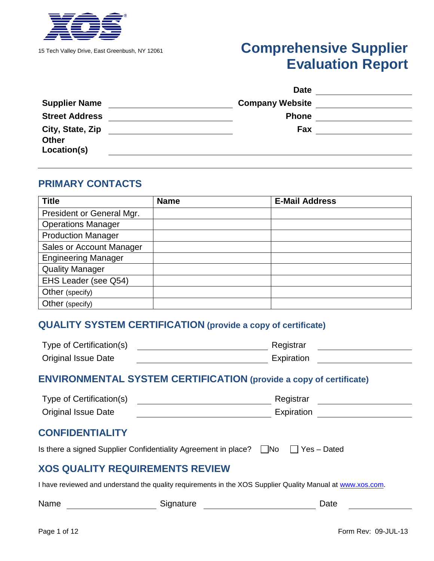

# 15 Tech Valley Drive, East Greenbush, NY 12061 **Comprehensive Supplier Evaluation Report**

|                             | <b>Date</b>            |  |
|-----------------------------|------------------------|--|
| <b>Supplier Name</b>        | <b>Company Website</b> |  |
| <b>Street Address</b>       | <b>Phone</b>           |  |
| City, State, Zip            | Fax                    |  |
| <b>Other</b><br>Location(s) |                        |  |
|                             |                        |  |

#### **PRIMARY CONTACTS**

| <b>Title</b>               | <b>Name</b> | <b>E-Mail Address</b> |
|----------------------------|-------------|-----------------------|
| President or General Mgr.  |             |                       |
| <b>Operations Manager</b>  |             |                       |
| <b>Production Manager</b>  |             |                       |
| Sales or Account Manager   |             |                       |
| <b>Engineering Manager</b> |             |                       |
| <b>Quality Manager</b>     |             |                       |
| EHS Leader (see Q54)       |             |                       |
| Other (specify)            |             |                       |
| Other (specify)            |             |                       |

#### **QUALITY SYSTEM CERTIFICATION (provide a copy of certificate)**

| Type of Certification(s)   | Registrar  |  |
|----------------------------|------------|--|
| <b>Original Issue Date</b> | Expiration |  |

#### **ENVIRONMENTAL SYSTEM CERTIFICATION (provide a copy of certificate)**

| Type of Certification(s)   | Registrar  |  |
|----------------------------|------------|--|
| <b>Original Issue Date</b> | Expiration |  |

#### **CONFIDENTIALITY**

Is there a signed Supplier Confidentiality Agreement in place?  $\Box$  No  $\Box$  Yes – Dated

#### **XOS QUALITY REQUIREMENTS REVIEW**

I have reviewed and understand the quality requirements in the XOS Supplier Quality Manual at [www.xos.com.](http://www.xos.com/)

| Name<br>Signature | Date |
|-------------------|------|
|-------------------|------|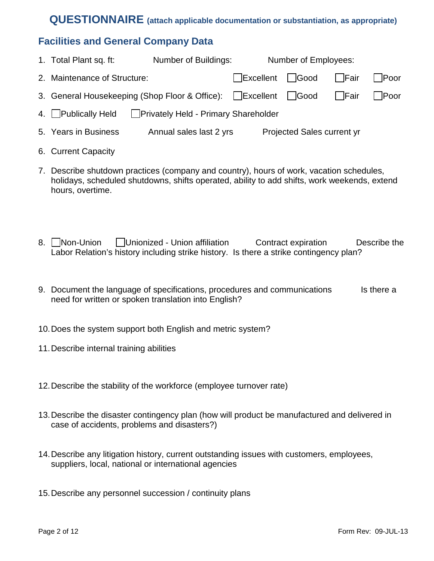### **QUESTIONNAIRE (attach applicable documentation or substantiation, as appropriate)**

#### **Facilities and General Company Data**

| 1. Total Plant sq. ft:                                        | Number of Buildings:                   |                | Number of Employees:       |        |             |
|---------------------------------------------------------------|----------------------------------------|----------------|----------------------------|--------|-------------|
| 2. Maintenance of Structure:                                  |                                        | Excellent Good |                            | l Fair | Poor        |
| 3. General Housekeeping (Shop Floor & Office): Excellent Good |                                        |                |                            | l Fair | <b>Poor</b> |
| 4. Publically Held                                            | □ Privately Held - Primary Shareholder |                |                            |        |             |
| 5. Years in Business                                          | Annual sales last 2 yrs                |                | Projected Sales current yr |        |             |

- 6. Current Capacity
- 7. Describe shutdown practices (company and country), hours of work, vacation schedules, holidays, scheduled shutdowns, shifts operated, ability to add shifts, work weekends, extend hours, overtime.
- 8. Non-Union ID unionized Union affiliation Contract expiration Describe the Labor Relation's history including strike history. Is there a strike contingency plan?
- 9. Document the language of specifications, procedures and communications Is there a need for written or spoken translation into English?
- 10.Does the system support both English and metric system?
- 11.Describe internal training abilities
- 12.Describe the stability of the workforce (employee turnover rate)
- 13. Describe the disaster contingency plan (how will product be manufactured and delivered in case of accidents, problems and disasters?)
- 14.Describe any litigation history, current outstanding issues with customers, employees, suppliers, local, national or international agencies
- 15.Describe any personnel succession / continuity plans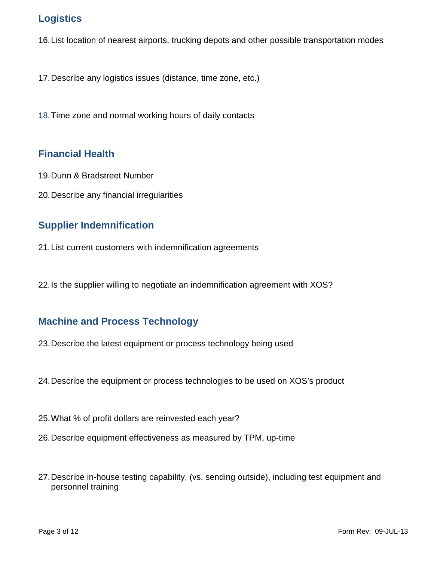# **Logistics**

16.List location of nearest airports, trucking depots and other possible transportation modes

17.Describe any logistics issues (distance, time zone, etc.)

18.Time zone and normal working hours of daily contacts

#### **Financial Health**

- 19.Dunn & Bradstreet Number
- 20.Describe any financial irregularities

#### **Supplier Indemnification**

- 21.List current customers with indemnification agreements
- 22.Is the supplier willing to negotiate an indemnification agreement with XOS?

#### **Machine and Process Technology**

- 23.Describe the latest equipment or process technology being used
- 24.Describe the equipment or process technologies to be used on XOS's product
- 25.What % of profit dollars are reinvested each year?
- 26.Describe equipment effectiveness as measured by TPM, up-time
- 27.Describe in-house testing capability, (vs. sending outside), including test equipment and personnel training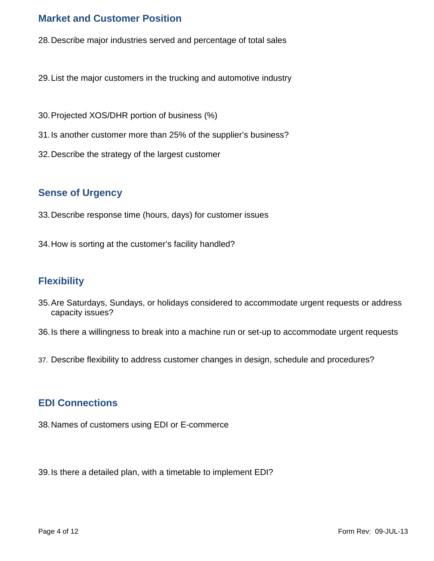#### **Market and Customer Position**

- 28.Describe major industries served and percentage of total sales
- 29.List the major customers in the trucking and automotive industry
- 30.Projected XOS/DHR portion of business (%)
- 31.Is another customer more than 25% of the supplier's business?
- 32.Describe the strategy of the largest customer

#### **Sense of Urgency**

- 33.Describe response time (hours, days) for customer issues
- 34.How is sorting at the customer's facility handled?

#### **Flexibility**

- 35.Are Saturdays, Sundays, or holidays considered to accommodate urgent requests or address capacity issues?
- 36.Is there a willingness to break into a machine run or set-up to accommodate urgent requests
- 37. Describe flexibility to address customer changes in design, schedule and procedures?

#### **EDI Connections**

38.Names of customers using EDI or E-commerce

39.Is there a detailed plan, with a timetable to implement EDI?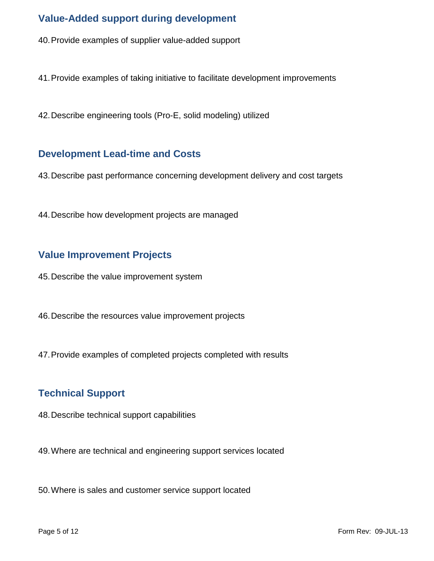# **Value-Added support during development**

- 40.Provide examples of supplier value-added support
- 41.Provide examples of taking initiative to facilitate development improvements
- 42.Describe engineering tools (Pro-E, solid modeling) utilized

#### **Development Lead-time and Costs**

- 43.Describe past performance concerning development delivery and cost targets
- 44.Describe how development projects are managed

#### **Value Improvement Projects**

- 45.Describe the value improvement system
- 46.Describe the resources value improvement projects
- 47.Provide examples of completed projects completed with results

#### **Technical Support**

- 48.Describe technical support capabilities
- 49.Where are technical and engineering support services located
- 50.Where is sales and customer service support located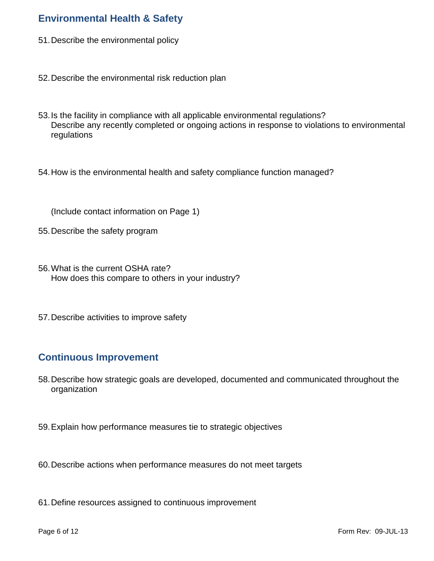### **Environmental Health & Safety**

- 51.Describe the environmental policy
- 52.Describe the environmental risk reduction plan
- 53.Is the facility in compliance with all applicable environmental regulations? Describe any recently completed or ongoing actions in response to violations to environmental regulations
- 54.How is the environmental health and safety compliance function managed?

(Include contact information on Page 1)

- 55.Describe the safety program
- 56.What is the current OSHA rate? How does this compare to others in your industry?
- 57.Describe activities to improve safety

#### **Continuous Improvement**

- 58.Describe how strategic goals are developed, documented and communicated throughout the organization
- 59.Explain how performance measures tie to strategic objectives
- 60.Describe actions when performance measures do not meet targets
- 61.Define resources assigned to continuous improvement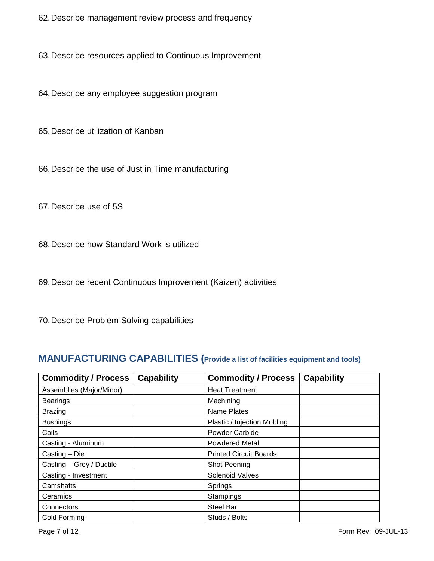62.Describe management review process and frequency

63.Describe resources applied to Continuous Improvement

64.Describe any employee suggestion program

65.Describe utilization of Kanban

66.Describe the use of Just in Time manufacturing

67.Describe use of 5S

68.Describe how Standard Work is utilized

69.Describe recent Continuous Improvement (Kaizen) activities

70.Describe Problem Solving capabilities

#### **MANUFACTURING CAPABILITIES (Provide a list of facilities equipment and tools)**

| <b>Commodity / Process</b> | <b>Capability</b> | <b>Commodity / Process</b>    | <b>Capability</b> |
|----------------------------|-------------------|-------------------------------|-------------------|
| Assemblies (Major/Minor)   |                   | <b>Heat Treatment</b>         |                   |
| <b>Bearings</b>            |                   | Machining                     |                   |
| <b>Brazing</b>             |                   | Name Plates                   |                   |
| <b>Bushings</b>            |                   | Plastic / Injection Molding   |                   |
| Coils                      |                   | Powder Carbide                |                   |
| Casting - Aluminum         |                   | <b>Powdered Metal</b>         |                   |
| Casting - Die              |                   | <b>Printed Circuit Boards</b> |                   |
| Casting - Grey / Ductile   |                   | Shot Peening                  |                   |
| Casting - Investment       |                   | Solenoid Valves               |                   |
| Camshafts                  |                   | Springs                       |                   |
| Ceramics                   |                   | Stampings                     |                   |
| Connectors                 |                   | <b>Steel Bar</b>              |                   |
| Cold Forming               |                   | Studs / Bolts                 |                   |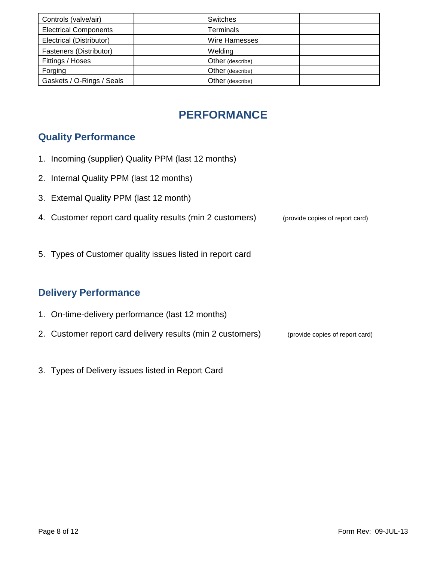| Controls (valve/air)         | Switches              |
|------------------------------|-----------------------|
| <b>Electrical Components</b> | Terminals             |
| Electrical (Distributor)     | <b>Wire Harnesses</b> |
| Fasteners (Distributor)      | Welding               |
| Fittings / Hoses             | Other (describe)      |
| Forging                      | Other (describe)      |
| Gaskets / O-Rings / Seals    | Other (describe)      |

# **PERFORMANCE**

# **Quality Performance**

- 1. Incoming (supplier) Quality PPM (last 12 months)
- 2. Internal Quality PPM (last 12 months)
- 3. External Quality PPM (last 12 month)
- 4. Customer report card quality results (min 2 customers) (provide copies of report card)
- 5. Types of Customer quality issues listed in report card

#### **Delivery Performance**

- 1. On-time-delivery performance (last 12 months)
- 2. Customer report card delivery results (min 2 customers) (provide copies of report card)
- 3. Types of Delivery issues listed in Report Card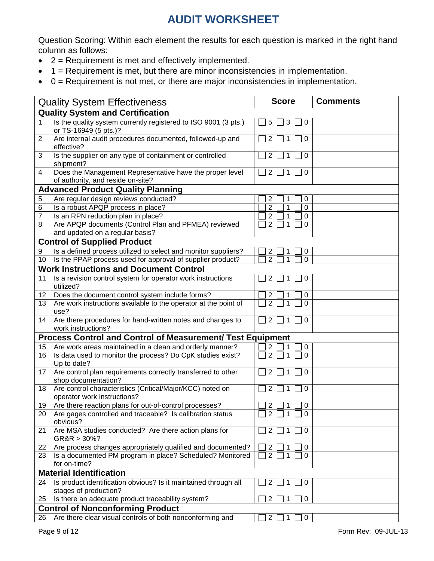# **AUDIT WORKSHEET**

Question Scoring: Within each element the results for each question is marked in the right hand column as follows:

- $\bullet$  2 = Requirement is met and effectively implemented.
- 1 = Requirement is met, but there are minor inconsistencies in implementation.
- $\bullet$  0 = Requirement is not met, or there are major inconsistencies in implementation.

| <b>Quality System Effectiveness</b>     |                                                                                               | <b>Score</b>                    | <b>Comments</b> |  |
|-----------------------------------------|-----------------------------------------------------------------------------------------------|---------------------------------|-----------------|--|
| <b>Quality System and Certification</b> |                                                                                               |                                 |                 |  |
| 1                                       | Is the quality system currently registered to ISO 9001 (3 pts.)<br>or TS-16949 (5 pts.)?      | 5<br>3<br>0                     |                 |  |
| $\overline{c}$                          | Are internal audit procedures documented, followed-up and<br>effective?                       | 2<br>0                          |                 |  |
| 3                                       | Is the supplier on any type of containment or controlled<br>shipment?                         | 2<br>0                          |                 |  |
| 4                                       | Does the Management Representative have the proper level<br>of authority, and reside on-site? | 2<br>0                          |                 |  |
|                                         | <b>Advanced Product Quality Planning</b>                                                      |                                 |                 |  |
| 5                                       | Are regular design reviews conducted?                                                         | 2<br>0                          |                 |  |
| 6                                       | Is a robust APQP process in place?                                                            | $\overline{2}$<br>1<br>0        |                 |  |
| 7                                       | Is an RPN reduction plan in place?                                                            | 2<br>1<br>0                     |                 |  |
| 8                                       | Are APQP documents (Control Plan and PFMEA) reviewed                                          | $\overline{2}$<br>1<br>0        |                 |  |
|                                         | and updated on a regular basis?                                                               |                                 |                 |  |
|                                         | <b>Control of Supplied Product</b>                                                            |                                 |                 |  |
| 9                                       | Is a defined process utilized to select and monitor suppliers?                                | 2<br>0                          |                 |  |
| 10 <sup>°</sup>                         | Is the PPAP process used for approval of supplier product?                                    | $\overline{2}$<br>1<br>0        |                 |  |
|                                         | <b>Work Instructions and Document Control</b>                                                 |                                 |                 |  |
| 11                                      | Is a revision control system for operator work instructions<br>utilized?                      | 2<br>0                          |                 |  |
| 12 <sup>2</sup>                         | Does the document control system include forms?                                               | 2<br>0                          |                 |  |
| 13                                      | Are work instructions available to the operator at the point of                               | $\overline{2}$                  |                 |  |
|                                         | use?                                                                                          |                                 |                 |  |
| 14                                      | Are there procedures for hand-written notes and changes to<br>work instructions?              | $\mathbf 0$<br>2                |                 |  |
|                                         | <b>Process Control and Control of Measurement/ Test Equipment</b>                             |                                 |                 |  |
| 15                                      | Are work areas maintained in a clean and orderly manner?                                      | 2<br>0                          |                 |  |
| 16                                      | Is data used to monitor the process? Do CpK studies exist?<br>Up to date?                     | 2<br>∩                          |                 |  |
| 17                                      | Are control plan requirements correctly transferred to other<br>shop documentation?           | 0                               |                 |  |
| 18                                      | Are control characteristics (Critical/Major/KCC) noted on<br>operator work instructions?      | 2<br>0                          |                 |  |
| 19                                      | Are there reaction plans for out-of-control processes?                                        | 2<br>0                          |                 |  |
|                                         | 20   Are gages controlled and traceable? Is calibration status<br>obvious?                    | $\Box$ 2 $\Box$ 1 $\Box$ 0      |                 |  |
| 21                                      | Are MSA studies conducted? Are there action plans for<br>$GR&R>30\%$ ?                        | $\overline{2}$<br>$\Omega$<br>1 |                 |  |
| 22                                      | Are process changes appropriately qualified and documented?                                   | $\overline{c}$<br>0             |                 |  |
| 23                                      | Is a documented PM program in place? Scheduled? Monitored<br>for on-time?                     | $\overline{2}$<br>0             |                 |  |
|                                         | <b>Material Identification</b>                                                                |                                 |                 |  |
| 24                                      | Is product identification obvious? Is it maintained through all<br>stages of production?      | 2<br>0                          |                 |  |
| 25                                      | Is there an adequate product traceability system?                                             | $\overline{2}$<br>0<br>1        |                 |  |
|                                         | <b>Control of Nonconforming Product</b>                                                       |                                 |                 |  |
| 26                                      | Are there clear visual controls of both nonconforming and                                     | $\overline{c}$<br>0<br>1        |                 |  |
|                                         |                                                                                               |                                 |                 |  |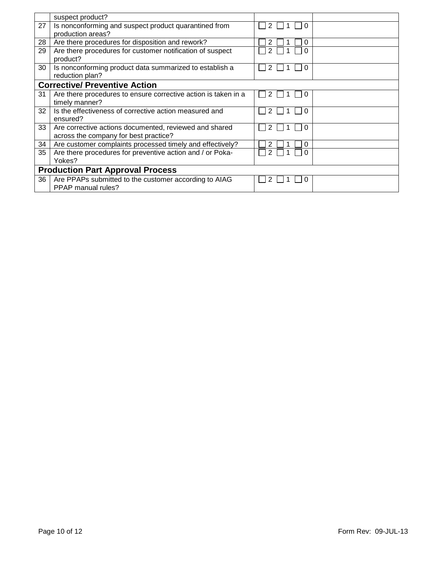|    | suspect product?                                                                                |        |  |  |  |
|----|-------------------------------------------------------------------------------------------------|--------|--|--|--|
| 27 | Is nonconforming and suspect product quarantined from<br>production areas?                      |        |  |  |  |
| 28 | Are there procedures for disposition and rework?                                                | 0      |  |  |  |
| 29 | Are there procedures for customer notification of suspect<br>product?                           | 2      |  |  |  |
| 30 | Is nonconforming product data summarized to establish a<br>reduction plan?                      |        |  |  |  |
|    | <b>Corrective/ Preventive Action</b>                                                            |        |  |  |  |
| 31 | Are there procedures to ensure corrective action is taken in a<br>timely manner?                | 2<br>O |  |  |  |
| 32 | Is the effectiveness of corrective action measured and<br>ensured?                              |        |  |  |  |
| 33 | Are corrective actions documented, reviewed and shared<br>across the company for best practice? | 0      |  |  |  |
| 34 | Are customer complaints processed timely and effectively?                                       | 0      |  |  |  |
| 35 | Are there procedures for preventive action and / or Poka-<br>Yokes?                             |        |  |  |  |
|    | <b>Production Part Approval Process</b>                                                         |        |  |  |  |
| 36 | Are PPAPs submitted to the customer according to AIAG<br>PPAP manual rules?                     |        |  |  |  |